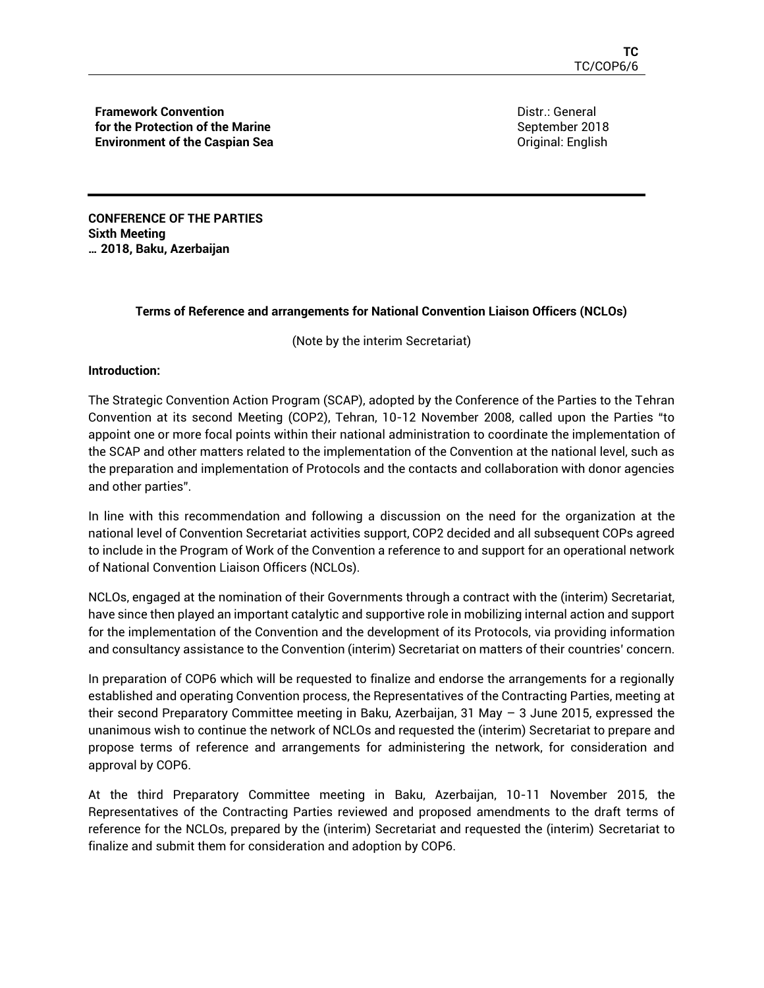**Framework Convention for the Protection of the Marine Environment of the Caspian Sea** Distr.: General September 2018 Original: English

**CONFERENCE OF THE PARTIES Sixth Meeting … 2018, Baku, Azerbaijan** 

# **Terms of Reference and arrangements for National Convention Liaison Officers (NCLOs)**

(Note by the interim Secretariat)

# **Introduction:**

The Strategic Convention Action Program (SCAP), adopted by the Conference of the Parties to the Tehran Convention at its second Meeting (COP2), Tehran, 10-12 November 2008, called upon the Parties "to appoint one or more focal points within their national administration to coordinate the implementation of the SCAP and other matters related to the implementation of the Convention at the national level, such as the preparation and implementation of Protocols and the contacts and collaboration with donor agencies and other parties".

In line with this recommendation and following a discussion on the need for the organization at the national level of Convention Secretariat activities support, COP2 decided and all subsequent COPs agreed to include in the Program of Work of the Convention a reference to and support for an operational network of National Convention Liaison Officers (NCLOs).

NCLOs, engaged at the nomination of their Governments through a contract with the (interim) Secretariat, have since then played an important catalytic and supportive role in mobilizing internal action and support for the implementation of the Convention and the development of its Protocols, via providing information and consultancy assistance to the Convention (interim) Secretariat on matters of their countries' concern.

In preparation of COP6 which will be requested to finalize and endorse the arrangements for a regionally established and operating Convention process, the Representatives of the Contracting Parties, meeting at their second Preparatory Committee meeting in Baku, Azerbaijan, 31 May – 3 June 2015, expressed the unanimous wish to continue the network of NCLOs and requested the (interim) Secretariat to prepare and propose terms of reference and arrangements for administering the network, for consideration and approval by COP6.

At the third Preparatory Committee meeting in Baku, Azerbaijan, 10-11 November 2015, the Representatives of the Contracting Parties reviewed and proposed amendments to the draft terms of reference for the NCLOs, prepared by the (interim) Secretariat and requested the (interim) Secretariat to finalize and submit them for consideration and adoption by COP6.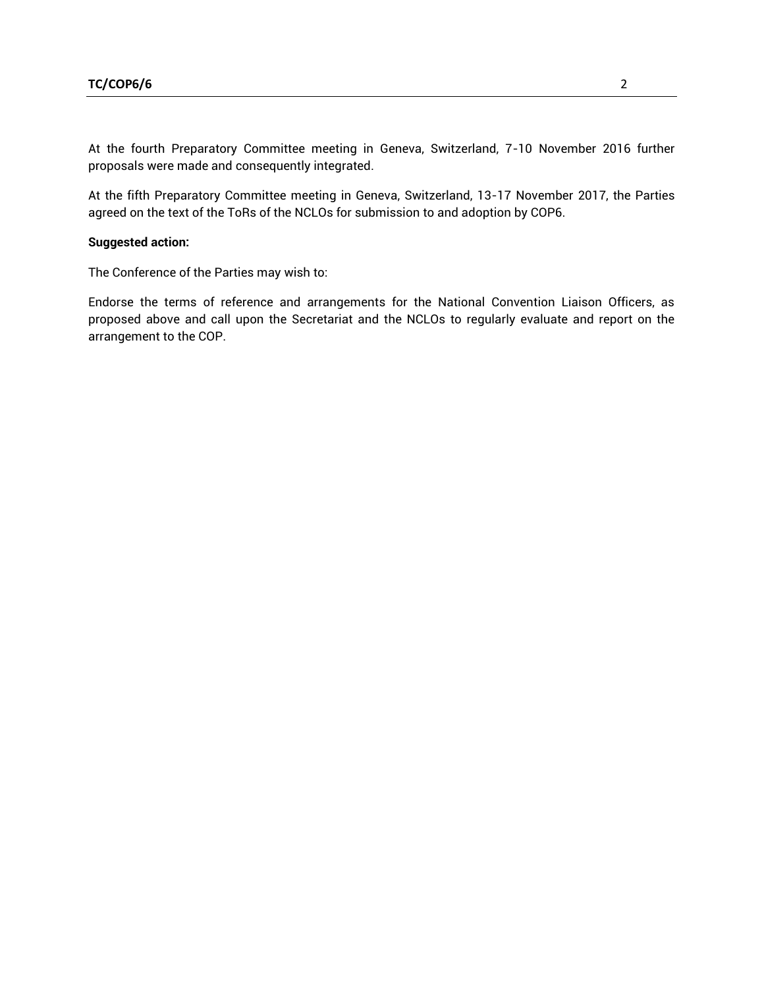At the fourth Preparatory Committee meeting in Geneva, Switzerland, 7-10 November 2016 further proposals were made and consequently integrated.

At the fifth Preparatory Committee meeting in Geneva, Switzerland, 13-17 November 2017, the Parties agreed on the text of the ToRs of the NCLOs for submission to and adoption by COP6.

## **Suggested action:**

The Conference of the Parties may wish to:

Endorse the terms of reference and arrangements for the National Convention Liaison Officers, as proposed above and call upon the Secretariat and the NCLOs to regularly evaluate and report on the arrangement to the COP.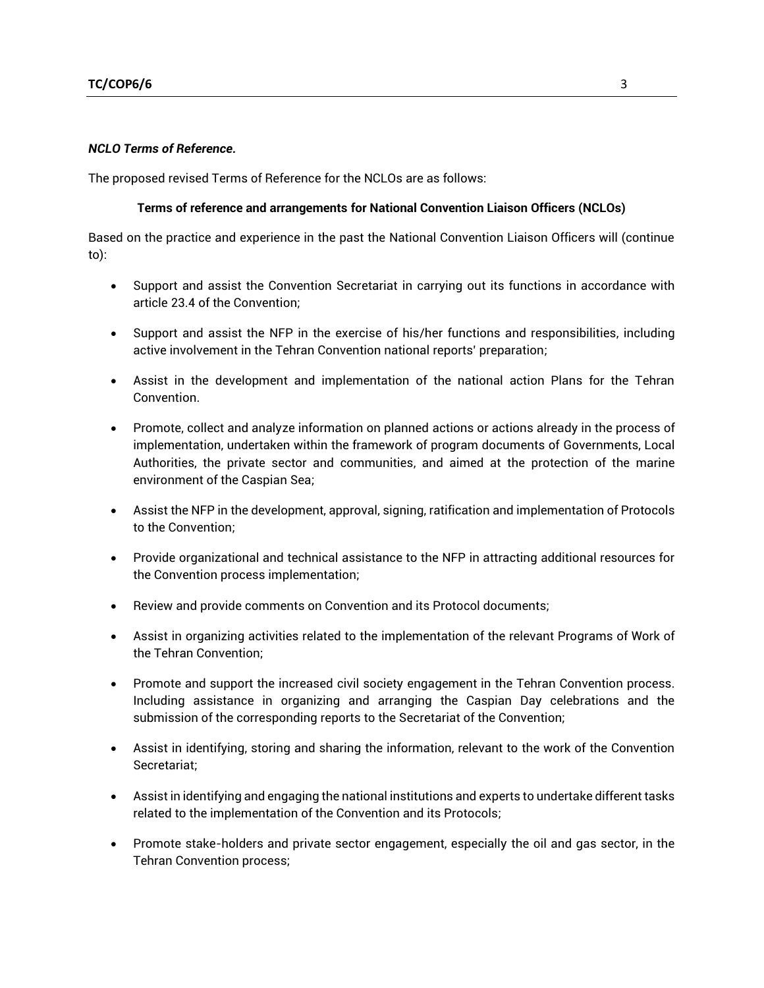# *NCLO Terms of Reference.*

The proposed revised Terms of Reference for the NCLOs are as follows:

# **Terms of reference and arrangements for National Convention Liaison Officers (NCLOs)**

Based on the practice and experience in the past the National Convention Liaison Officers will (continue to):

- Support and assist the Convention Secretariat in carrying out its functions in accordance with article 23.4 of the Convention;
- Support and assist the NFP in the exercise of his/her functions and responsibilities, including active involvement in the Tehran Convention national reports' preparation;
- Assist in the development and implementation of the national action Plans for the Tehran Convention.
- Promote, collect and analyze information on planned actions or actions already in the process of implementation, undertaken within the framework of program documents of Governments, Local Authorities, the private sector and communities, and aimed at the protection of the marine environment of the Caspian Sea;
- Assist the NFP in the development, approval, signing, ratification and implementation of Protocols to the Convention;
- Provide organizational and technical assistance to the NFP in attracting additional resources for the Convention process implementation;
- Review and provide comments on Convention and its Protocol documents;
- Assist in organizing activities related to the implementation of the relevant Programs of Work of the Tehran Convention;
- Promote and support the increased civil society engagement in the Tehran Convention process. Including assistance in organizing and arranging the Caspian Day celebrations and the submission of the corresponding reports to the Secretariat of the Convention;
- Assist in identifying, storing and sharing the information, relevant to the work of the Convention Secretariat;
- Assist in identifying and engaging the national institutions and experts to undertake different tasks related to the implementation of the Convention and its Protocols;
- Promote stake-holders and private sector engagement, especially the oil and gas sector, in the Tehran Convention process;